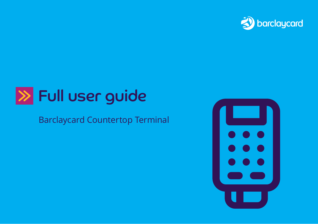

# Full user guide

## Barclaycard Countertop Terminal

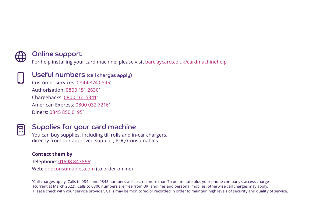

### Online support

For help installing your card machine, please visit [barclaycard.co.uk/cardmachinehelp](http://barclaycard.co.uk/cardmachinehelp )



Useful numbers (call charges apply)

Customer services: 0844 874 0895\* Authorisation: [0800 151 2630\\*](Tel:08001512630) Chargebacks: [0800 161 5341\\*](Tel:08001615341) American Express: [0800 032 7216](Tel:08000327216)\* Diners: [0845 850 0195](Tel:08458500195)\*



## Supplies for your card machine

You can buy supplies, including till rolls and in-car chargers, directly from our approved supplier, PDQ Consumables.

### **Contact them by**

Telephone: [01698 843866\\*](Tel:01698843866) Web: [pdqconsumables.com](http://pdqconsumables.com) (to order online)

\*Call charges apply. Calls to 0844 and 0845 numbers will cost no more than 7p per minute plus your phone company's access charge (current at March 2022). Calls to 0800 numbers are free from UK landlines and personal mobiles, otherwise call charges may apply. Please check with your service provider. Calls may be monitored or recorded in order to maintain high levels of security and quality of service.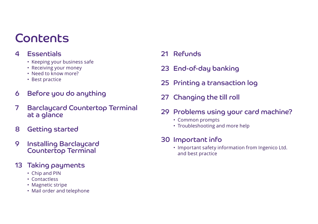## Contents

## 4 Essentials

- Keeping your business safe
- Receiving your money
- Need to know more?
- Best practice
- 6 Before you do anything
- 7 Barclaycard Countertop Terminal at a glance
- 8 Getting started
- 9 Installing Barclaycard Countertop Terminal
- 13 Taking payments
	- Chip and PIN
	- Contactless
	- Magnetic stripe
	- Mail order and telephone
- 21 Refunds
- 23 End-of-day banking
- 25 Printing a transaction log
- 27 Changing the till roll
- 29 Problems using your card machine?
	- Common prompts
	- Troubleshooting and more help

## 30 Important info

• Important safety information from Ingenico Ltd. and best practice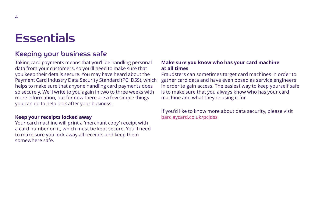## **Essentials**

## Keeping your business safe

Taking card payments means that you'll be handling personal data from your customers, so you'll need to make sure that you keep their details secure. You may have heard about the Payment Card Industry Data Security Standard (PCI DSS), which helps to make sure that anyone handling card payments does so securely. We'll write to you again in two to three weeks with more information, but for now there are a few simple things you can do to help look after your business.

### **Keep your receipts locked away**

Your card machine will print a 'merchant copy' receipt with a card number on it, which must be kept secure. You'll need to make sure you lock away all receipts and keep them somewhere safe.

### **Make sure you know who has your card machine at all times**

Fraudsters can sometimes target card machines in order to gather card data and have even posed as service engineers in order to gain access. The easiest way to keep yourself safe is to make sure that you always know who has your card machine and what they're using it for.

If you'd like to know more about data security, please visit [barclaycard.co.uk/pcidss](http://barclaycard.co.uk/pcidss)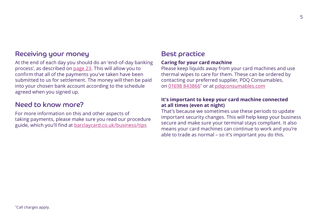## Receiving your money

At the end of each day you should do an 'end-of-day banking process', as described on [page 23](#page-22-0). This will allow you to confirm that all of the payments you've taken have been submitted to us for settlement. The money will then be paid into your chosen bank account according to the schedule agreed when you signed up.

### Need to know more?

For more information on this and other aspects of taking payments, please make sure you read our procedure guide, which you'll find at [barclaycard.co.uk/business/tips](http://barclaycard.co.uk/business/tips)

## Best practice

### **Caring for your card machine**

Please keep liquids away from your card machines and use thermal wipes to care for them. These can be ordered by contacting our preferred supplier, PDQ Consumables, on [01698 843866\\*](Tel:01698843866) or at [pdqconsumables.com](http://pdqconsumables.com)

### **It's important to keep your card machine connected at all times (even at night)**

That's because we sometimes use these periods to update important security changes. This will help keep your business secure and make sure your terminal stays compliant. It also means your card machines can continue to work and you're able to trade as normal – so it's important you do this.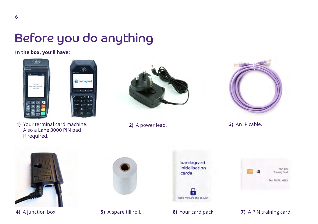## Before you do anything

**In the box, you'll have:**





**1)** Your terminal card machine. **2)** A power lead. Also a Lane 3000 PIN pad if required.





**3)** An IP cable.









### **4)** A junction box. **5)** A spare till roll. **6)** Your card pack. **7)** A PIN training card.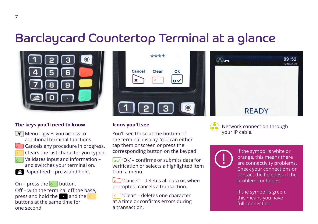## Barclaycard Countertop Terminal at a glance



### **The keys you'll need to know**

- $\bullet$  Menu gives you access to additional terminal functions.
- $\times$  Cancels any procedure in progress.
	- Clears the last character you typed.
- Validates input and information and switches your terminal on.
- **Paper feed press and hold.**

### On – press the  $\circ$  button. Off – with the terminal off the base, press and hold the and the buttons at the same time for one second.



### **Icons you'll see**

You'll see these at the bottom of the terminal display. You can either tap them onscreen or press the corresponding button on the keypad.

 $\overline{Q}$  'Ok' – confirms or submits data for verification or selects a highlighted item from a menu.

 $\mathbf{x}$  'Cancel' – deletes all data or, when prompted, cancels a transaction.

 'Clear' – deletes one character at a time or confirms errors during a transaction.





Network connection through your IP cable.



If the symbol is white or orange, this means there are connectivity problems. Check your connections or contact the helpdesk if the problem continues.

If the symbol is green, this means you have full connection.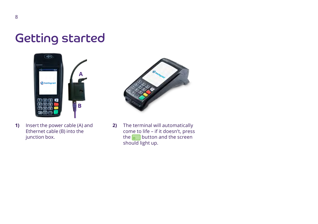## Getting started





**2)** The terminal will automatically come to life – if it doesn't, press the  $\overline{\bullet}$  button and the screen should light up.

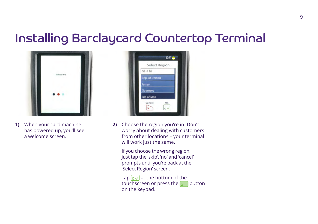## Installing Barclaycard Countertop Terminal



**1)** When your card machine has powered up, you'll see a welcome screen.



**2)** Choose the region you're in. Don't worry about dealing with customers from other locations – your terminal will work just the same.

 If you choose the wrong region, just tap the 'skip', 'no' and 'cancel' prompts until you're back at the 'Select Region' screen.

Tap  $\sim$  at the bottom of the touchscreen or press the  $\sim$  button on the keypad.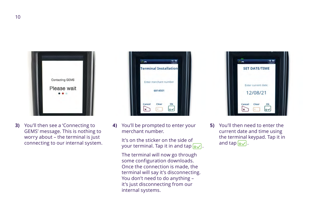

**3)** You'll then see a 'Connecting to GEMS' message. This is nothing to worry about – the terminal is just connecting to our internal system.

| <b>Terminal Installation</b> |    |
|------------------------------|----|
|                              |    |
| Enter merchant number        |    |
| 6814501                      |    |
| Cancel<br>Clear              | Ok |

**4)** You'll be prompted to enter your merchant number.

> It's on the sticker on the side of your terminal. Tap it in and tap  $\boxed{\mathbf{o}\mathbf{v}}$ .

The terminal will now go through some configuration downloads. Once the connection is made, the terminal will say it's disconnecting. You don't need to do anything – it's just disconnecting from our internal systems.



**5)** You'll then need to enter the current date and time using the terminal keypad. Tap it in and tap  $\boxed{\mathsf{o}\mathsf{v}}$ .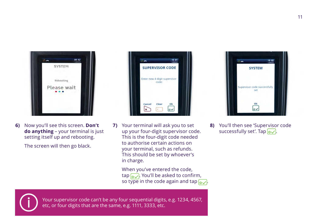| <b>SYSTEM</b> | 201003 |
|---------------|--------|
| Rebooting     |        |
| Please wait   |        |

**6)** Now you'll see this screen. **Don't do anything** – your terminal is just setting itself up and rebooting.

The screen will then go black.



**7)** Your terminal will ask you to set up your four-digit supervisor code. This is the four-digit code needed to authorise certain actions on your terminal, such as refunds. This should be set by whoever's in charge.

> When you've entered the code,  $\tan \sqrt{2}$ . You'll be asked to confirm, so type in the code again and tap  $\sim$ .



**8)** You'll then see 'Supervisor code successfully set'. Tap  $\sim$ .



Your supervisor code can't be any four sequential digits, e.g. 1234, 4567, etc, or four digits that are the same, e.g. 1111, 3333, etc.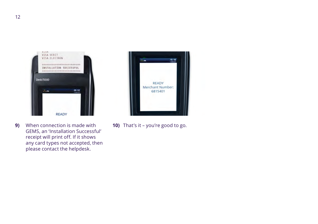

**9)** When connection is made with **10)** That's it – you're good to go. GEMS, an 'Installation Successful' receipt will print off. If it shows any card types not accepted, then please contact the helpdesk.

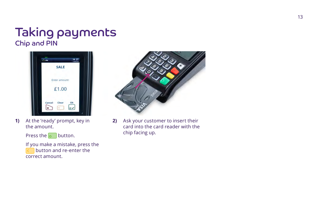## Taking payments Chip and PIN



**1)** At the 'ready' prompt, key in the amount.

Press the  $\overline{\circ}$  button.

 If you make a mistake, press the button and re-enter the correct amount.



**2)** Ask your customer to insert their card into the card reader with the chip facing up.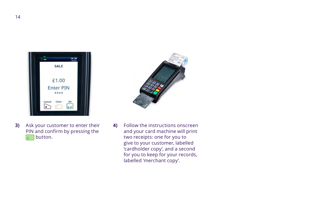| <b>SALE</b>      |    |
|------------------|----|
|                  |    |
| £1.00            |    |
| <b>Enter PIN</b> |    |
| ****             |    |
| Clear<br>Cancel  | Ok |
|                  |    |

**3)** Ask your customer to enter their PIN and confirm by pressing the o button.

- 
- **4)** Follow the instructions onscreen and your card machine will print two receipts: one for you to give to your customer, labelled 'cardholder copy', and a second for you to keep for your records, labelled 'merchant copy'.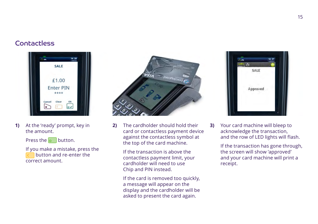### Contactless



**1)** At the 'ready' prompt, key in the amount.

Press the  $\circ$  button.

 If you make a mistake, press the button and re-enter the correct amount.



**2)** The cardholder should hold their card or contactless payment device against the contactless symbol at the top of the card machine.

> If the transaction is above the contactless payment limit, your cardholder will need to use Chip and PIN instead.

 If the card is removed too quickly, a message will appear on the display and the cardholder will be asked to present the card again.



**3)** Your card machine will bleep to acknowledge the transaction, and the row of LED lights will flash.

> If the transaction has gone through, the screen will show 'approved' and your card machine will print a receipt.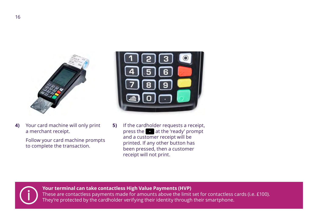

**4)** Your card machine will only print a merchant receipt.

> Follow your card machine prompts to complete the transaction.



**5)** If the cardholder requests a receipt, press the at the 'ready' prompt and a customer receipt will be printed. If any other button has been pressed, then a customer receipt will not print.



**Your terminal can take contactless High Value Payments (HVP)**

These are contactless payments made for amounts above the limit set for contactless cards (i.e. £100). They're protected by the cardholder verifying their identity through their smartphone.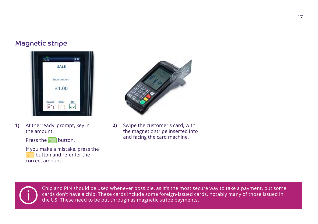### Magnetic stripe



**1)** At the 'ready' prompt, key in the amount.

Press the  $\overline{\bullet}$  button.

 If you make a mistake, press the button and re-enter the correct amount.



**2)** Swipe the customer's card, with the magnetic stripe inserted into and facing the card machine.



Chip and PIN should be used whenever possible, as it's the most secure way to take a payment, but some cards don't have a chip. These cards include some foreign-issued cards, notably many of those issued in the US. These need to be put through as magnetic stripe payments.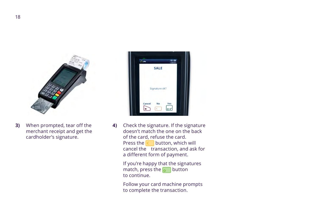

**3)** When prompted, tear off the merchant receipt and get the cardholder's signature.



**4)** Check the signature. If the signature doesn't match the one on the back of the card, refuse the card. Press the  $\left\langle \quad \right|$  button, which will cancel the transaction, and ask for a different form of payment.

> If you're happy that the signatures match, press the  $\circ$  button to continue.

 Follow your card machine prompts to complete the transaction.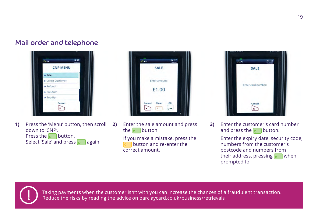## Mail order and telephone



**1)** Press the 'Menu' button, then scroll down to 'CNP'. Press the  $\circ$  button. Select 'Sale' and press  $\circ$  again.



**2)** Enter the sale amount and press the  $\overline{\circ}$  button.

> If you make a mistake, press the button and re-enter the correct amount.



**3)** Enter the customer's card number and press the **button**.

> Enter the expiry date, security code, numbers from the customer's postcode and numbers from their address, pressing  $\sim$  when prompted to.



Taking payments when the customer isn't with you can increase the chances of a fraudulent transaction. Reduce the risks by reading the advice on [barclaycard.co.uk/business/retrievals](http://barclaycard.co.uk/business/retrievals)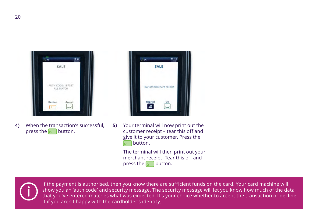| SALE                           |        |
|--------------------------------|--------|
|                                |        |
| AUTH CODE: 187587<br>ALL MATCH |        |
|                                |        |
| Decline                        | Accept |

**4)** When the transaction's successful, press the  $\overline{\bullet}$  button.



**5)** Your terminal will now print out the customer receipt – tear this off and give it to your customer. Press the button. lo.

> The terminal will then print out your merchant receipt. Tear this off and press the  $\bullet$  button.



If the payment is authorised, then you know there are sufficient funds on the card. Your card machine will show you an 'auth code' and security message. The security message will let you know how much of the data that you've entered matches what was expected. It's your choice whether to accept the transaction or decline it if you aren't happy with the cardholder's identity.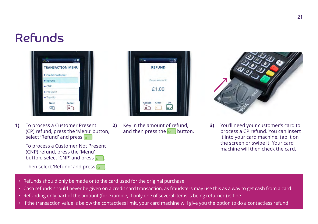## Refunds



**1)** To process a Customer Present (CP) refund, press the 'Menu' button, select 'Refund' and press  $\overline{0}$ .

> To process a Customer Not Present (CNP) refund, press the 'Menu' button, select 'CNP' and press  $\overline{\bullet}$

Then select 'Refund' and press  $\overline{\bullet}$ 

| <b>REFUND</b>   |    |
|-----------------|----|
|                 |    |
| Enter amount:   |    |
| £1.00           |    |
| Cancel<br>Clear | Ok |

**2)** Key in the amount of refund, and then press the  $\circ$  button.



**3)** You'll need your customer's card to process a CP refund. You can insert it into your card machine, tap it on the screen or swipe it. Your card machine will then check the card.

- Refunds should only be made onto the card used for the original purchase
- Cash refunds should never be given on a credit card transaction, as fraudsters may use this as a way to get cash from a card
- Refunding only part of the amount (for example, if only one of several items is being returned) is fine
- If the transaction value is below the contactless limit, your card machine will give you the option to do a contactless refund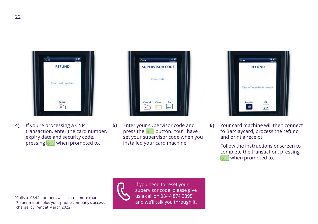

**4)** If you're processing a CNP transaction, enter the card number, expiry date and security code, pressing o when prompted to.

|        | <b>SUPERVISOR CODE</b> |    |  |
|--------|------------------------|----|--|
|        | Enter code:            |    |  |
| Cancel | Clear                  | Ok |  |

**5)** Enter your supervisor code and press the  $\overline{\bullet}$  button. You'll have set your supervisor code when you installed your card machine.



**6)** Your card machine will then connect to Barclaycard, process the refund and print a receipt.

> Follow the instructions onscreen to complete the transaction, pressing when prompted to.

\*Calls to 0844 numbers will cost no more than 7p per minute plus your phone company's access charge (current at March 2022).



If you need to reset your supervisor code, please give us a call on 0844 874 0895\* and we'll talk you through it.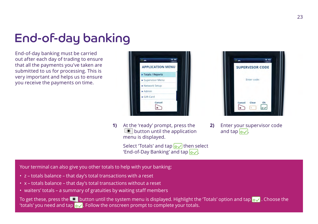## <span id="page-22-0"></span>End-of-day banking

End-of-day banking must be carried out after each day of trading to ensure that all the payments you've taken are submitted to us for processing. This is very important and helps us to ensure you receive the payments on time.



**1)** At the 'ready' prompt, press the **O** button until the application menu is displayed.

> Select 'Totals' and tap  $\overline{o}\sqrt{}$  then select 'End-of-Day Banking' and tap  $\sim$



**2)** Enter your supervisor code and tap  $\sim$ .

Your terminal can also give you other totals to help with your banking:

- z totals balance that day's total transactions with a reset
- x totals balance that day's total transactions without a reset
- waiters' totals a summary of gratuities by waiting staff members

To get these, press the **button until the system menu is displayed.** Highlight the 'Totals' option and tap  $\overline{\mathbf{Q}}$ . Choose the 'totals' you need and tap  $\overline{Q}$ . Follow the onscreen prompt to complete your totals.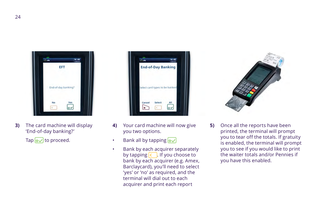

**3)** The card machine will display 'End-of-day banking?'

Tap  $\boxed{\mathsf{o}\mathsf{v}}$  to proceed.

|        | <b>End-of-Day Banking</b>      |     |
|--------|--------------------------------|-----|
|        | Select card types to be banked |     |
|        |                                |     |
| Cancel | Select                         | All |

- **4)** Your card machine will now give you two options.
- Bank all by tapping  $\overline{o\smile}$
- Bank by each acquirer separately by tapping  $\left\{ \right\}$ . If you choose to bank by each acquirer (e.g. Amex, Barclaycard), you'll need to select 'yes' or 'no' as required, and the terminal will dial out to each acquirer and print each report



**5)** Once all the reports have been printed, the terminal will prompt you to tear off the totals. If gratuity is enabled, the terminal will prompt you to see if you would like to print the waiter totals and/or Pennies if you have this enabled.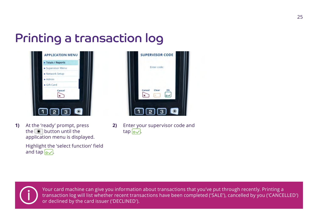# Printing a transaction log



**1)** At the 'ready' prompt, press the  $\textcircled{\textcircled{\small{-}}}$  button until the application menu is displayed.

> Highlight the 'select function' field and tap  $\overline{o}\sqrt{}$ .



**2)** Enter your supervisor code and  $tan$   $o$ .



Your card machine can give you information about transactions that you've put through recently. Printing a transaction log will list whether recent transactions have been completed ('SALE'), cancelled by you ('CANCELLED') or declined by the card issuer ('DECLINED').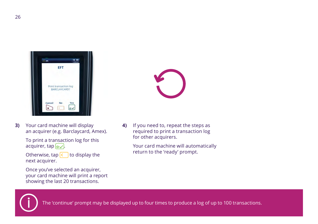

**3)** Your card machine will display an acquirer (e.g. Barclaycard, Amex).

> To print a transaction log for this acquirer, tap  $\sim$ .

> Otherwise, tap to display the next acquirer.

 Once you've selected an acquirer, your card machine will print a report showing the last 20 transactions.

**4)** If you need to, repeat the steps as required to print a transaction log for other acquirers.

> Your card machine will automatically return to the 'ready' prompt.



The 'continue' prompt may be displayed up to four times to produce a log of up to 100 transactions.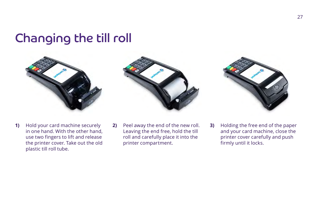## Changing the till roll



**1)** Hold your card machine securely in one hand. With the other hand, use two fingers to lift and release the printer cover. Take out the old plastic till roll tube.







**3)** Holding the free end of the paper and your card machine, close the printer cover carefully and push firmly until it locks.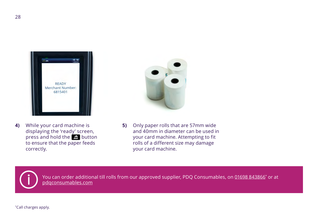

**4)** While your card machine is displaying the 'ready' screen, press and hold the  $\blacksquare$  button to ensure that the paper feeds correctly.



**5)** Only paper rolls that are 57mm wide and 40mm in diameter can be used in your card machine. Attempting to fit rolls of a different size may damage your card machine.



You can order additional till rolls from our approved supplier, PDQ Consumables, on <u>01698 843866</u>\* or at [pdqconsumables.com](http://pdqconsumables.com)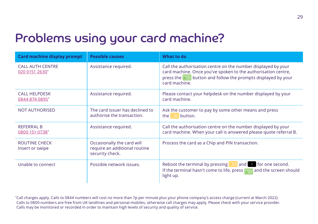## Problems using your card machine?

| Card machine display prompt               | <b>Possible causes</b>                                                         | What to do                                                                                                                                                                                                             |
|-------------------------------------------|--------------------------------------------------------------------------------|------------------------------------------------------------------------------------------------------------------------------------------------------------------------------------------------------------------------|
| <b>CALL AUTH CENTRE</b><br>020 0151 2630* | Assistance required.                                                           | Call the authorisation centre on the number displayed by your<br>card machine. Once you've spoken to the authorisation centre,<br>press the $\circ$ J button and follow the prompts displayed by your<br>card machine. |
| <b>CALL HELPDESK</b><br>0844 874 0895*    | Assistance required.                                                           | Please contact your helpdesk on the number displayed by your<br>card machine.                                                                                                                                          |
| <b>NOT AUTHORISED</b>                     | The card issuer has declined to<br>authorise the transaction.                  | Ask the customer to pay by some other means and press<br>button.<br>the $\leq$                                                                                                                                         |
| <b>REFERRAL B</b><br>0800 151 0738*       | Assistance required.                                                           | Call the authorisation centre on the number displayed by your<br>card machine. When your call is answered please quote referral B.                                                                                     |
| <b>ROUTINE CHECK</b><br>Insert or swipe   | Occasionally the card will<br>require an additional routine<br>security check. | Process the card as a Chip and PIN transaction.                                                                                                                                                                        |
| Unable to connect                         | Possible network issues.                                                       | Reboot the terminal by pressing $\langle \rangle$<br>o for one second.<br>$ $ and<br>If the terminal hasn't come to life, press $\sqrt{\frac{1}{2}}$<br>and the screen should<br>light up.                             |

\*Call charges apply. Calls to 0844 numbers will cost no more than 7p per minute plus your phone company's access charge (current at March 2022). Calls to 0800 numbers are free from UK landlines and personal mobiles, otherwise call charges may apply. Please check with your service provider. Calls may be monitored or recorded in order to maintain high levels of security and quality of service.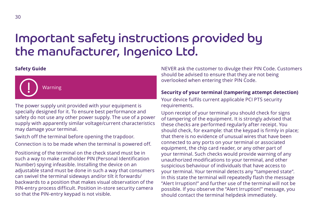## Important safety instructions provided by the manufacturer, Ingenico Ltd.

#### **Safety Guide**



The power supply unit provided with your equipment is specially designed for it. To ensure best performance and safety do not use any other power supply. The use of a power supply with apparently similar voltage/current characteristics may damage your terminal.

Switch off the terminal before opening the trapdoor.

Connection is to be made when the terminal is powered off.

Positioning of the terminal on the check stand must be in such a way to make cardholder PIN (Personal Identification Number) spying infeasible. Installing the device on an adjustable stand must be done in such a way that consumers can swivel the terminal sideways and/or tilt it forwards/ backwards to a position that makes visual observation of the PIN-entry process difficult. Position in-store security camera so that the PIN-entry keypad is not visible.

NEVER ask the customer to divulge their PIN Code. Customers should be advised to ensure that they are not being overlooked when entering their PIN Code.

#### **Security of your terminal (tampering attempt detection)**

Your device fulfils current applicable PCI PTS security requirements.

Upon receipt of your terminal you should check for signs of tampering of the equipment. It is strongly advised that these checks are performed regularly after receipt. You should check, for example: that the keypad is firmly in place; that there is no evidence of unusual wires that have been connected to any ports on your terminal or associated equipment, the chip card reader, or any other part of your terminal. Such checks would provide warning of any unauthorized modifications to your terminal, and other suspicious behaviour of individuals that have access to your terminal. Your terminal detects any "tampered state". In this state the terminal will repeatedly flash the message "Alert Irruption!" and further use of the terminal will not be possible. If you observe the "Alert Irruption!" message, you should contact the terminal helpdesk immediately.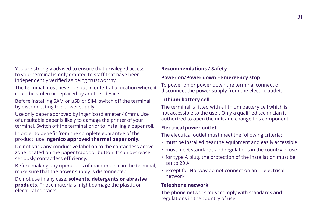You are strongly advised to ensure that privileged access to your terminal is only granted to staff that have been independently verified as being trustworthy.

The terminal must never be put in or left at a location where it could be stolen or replaced by another device.

Before installing SAM or μSD or SIM, switch off the terminal by disconnecting the power supply.

Use only paper approved by Ingenico (diameter 40mm). Use of unsuitable paper is likely to damage the printer of your terminal. Switch off the terminal prior to installing a paper roll.

In order to benefit from the complete guarantee of the product, use **Ingenico approved thermal paper only.**

Do not stick any conductive label on to the contactless active zone located on the paper trapdoor button. It can decrease seriously contactless efficiency.

Before making any operations of maintenance in the terminal, make sure that the power supply is disconnected.

Do not use in any case, **solvents, detergents or abrasive products.** Those materials might damage the plastic or electrical contacts.

#### **Recommendations / Safety**

#### **Power on/Power down – Emergency stop**

To power on or power down the terminal connect or disconnect the power supply from the electric outlet.

#### **Lithium battery cell**

The terminal is fitted with a lithium battery cell which is not accessible to the user. Only a qualified technician is authorized to open the unit and change this component.

#### **Electrical power outlet**

The electrical outlet must meet the following criteria:

- must be installed near the equipment and easily accessible
- must meet standards and regulations in the country of use
- for type A plug, the protection of the installation must be set to 20 A
- except for Norway do not connect on an IT electrical network

#### **Telephone network**

The phone network must comply with standards and regulations in the country of use.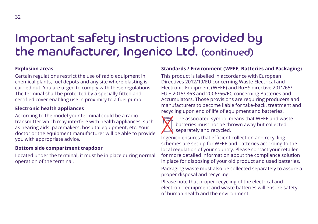## Important safety instructions provided by the manufacturer, Ingenico Ltd. (continued)

### **Explosion areas**

Certain regulations restrict the use of radio equipment in chemical plants, fuel depots and any site where blasting is carried out. You are urged to comply with these regulations. The terminal shall be protected by a specially fitted and certified cover enabling use in proximity to a fuel pump.

### **Electronic health appliances**

According to the model your terminal could be a radio transmitter which may interfere with health appliances, such as hearing aids, pacemakers, hospital equipment, etc. Your doctor or the equipment manufacturer will be able to provide you with appropriate advice.

#### **Bottom side compartment trapdoor**

Located under the terminal, it must be in place during normal operation of the terminal.

### **Standards / Environment (WEEE, Batteries and Packaging)**

This product is labelled in accordance with European Directives 2012/19/EU concerning Waste Electrical and Electronic Equipment (WEEE) and RoHS directive 2011/65/ EU + 2015/ 863 and 2006/66/EC concerning Batteries and Accumulators. Those provisions are requiring producers and manufacturers to become liable for take-back, treatment and recycling upon end of life of equipment and batteries.



 The associated symbol means that WEEE and waste batteries must not be thrown away but collected  $\triangle$  separately and recycled.

Ingenico ensures that efficient collection and recycling schemes are set-up for WEEE and batteries according to the local regulation of your country. Please contact your retailer for more detailed information about the compliance solution in place for disposing of your old product and used batteries.

Packaging waste must also be collected separately to assure a proper disposal and recycling.

Please note that proper recycling of the electrical and electronic equipment and waste batteries will ensure safety of human health and the environment.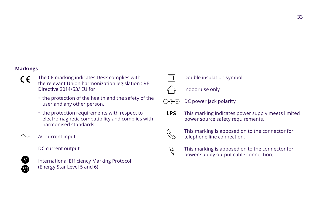### **Markings**

- The CE marking indicates Desk complies with the relevant Union harmonization legislation : RE Directive 2014/53/ EU for:
	- the protection of the health and the safety of the user and any other person.
	- the protection requirements with respect to electromagnetic compatibility and complies with harmonised standards.
- AC current input
- DC current output  $=$



 International Efficiency Marking Protocol (Energy Star Level 5 and 6)



### Double insulation symbol

Indoor use only



 This marking indicates power supply meets limited power source safety requirements. **LPS**



 $\uparrow$  This marking is apposed on to the connector for<br>  $\uparrow$  telephone line connection. telephone line connection.



 This marking is apposed on to the connector for power supply output cable connection.